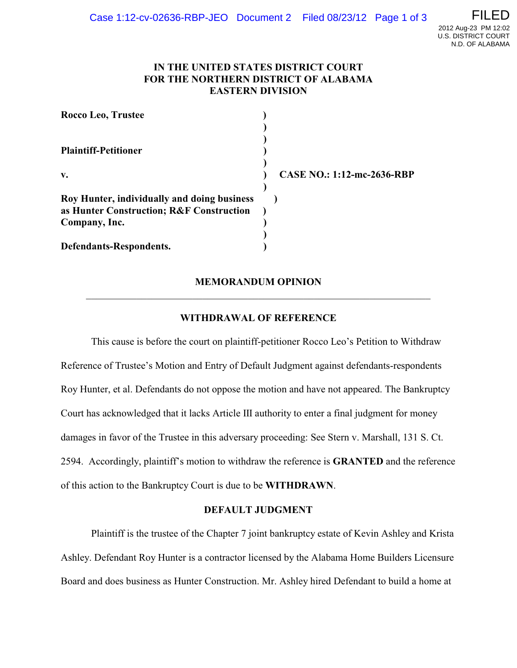## **IN THE UNITED STATES DISTRICT COURT FOR THE NORTHERN DISTRICT OF ALABAMA EASTERN DIVISION**

| Rocco Leo, Trustee                          |                            |
|---------------------------------------------|----------------------------|
|                                             |                            |
|                                             |                            |
| <b>Plaintiff-Petitioner</b>                 |                            |
|                                             |                            |
| $\mathbf{v}$ .                              | CASE NO.: 1:12-mc-2636-RBP |
|                                             |                            |
| Roy Hunter, individually and doing business |                            |
| as Hunter Construction; R&F Construction    |                            |
| Company, Inc.                               |                            |
|                                             |                            |
| Defendants-Respondents.                     |                            |

# **MEMORANDUM OPINION** \_\_\_\_\_\_\_\_\_\_\_\_\_\_\_\_\_\_\_\_\_\_\_\_\_\_\_\_\_\_\_\_\_\_\_\_\_\_\_\_\_\_\_\_\_\_\_\_\_\_\_\_\_\_\_\_\_\_\_\_\_\_\_\_\_\_\_\_

## **WITHDRAWAL OF REFERENCE**

This cause is before the court on plaintiff-petitioner Rocco Leo's Petition to Withdraw Reference of Trustee's Motion and Entry of Default Judgment against defendants-respondents Roy Hunter, et al. Defendants do not oppose the motion and have not appeared. The Bankruptcy Court has acknowledged that it lacks Article III authority to enter a final judgment for money damages in favor of the Trustee in this adversary proceeding: See Stern v. Marshall, 131 S. Ct. 2594. Accordingly, plaintiff's motion to withdraw the reference is **GRANTED** and the reference of this action to the Bankruptcy Court is due to be **WITHDRAWN**.

### **DEFAULT JUDGMENT**

Plaintiff is the trustee of the Chapter 7 joint bankruptcy estate of Kevin Ashley and Krista Ashley. Defendant Roy Hunter is a contractor licensed by the Alabama Home Builders Licensure Board and does business as Hunter Construction. Mr. Ashley hired Defendant to build a home at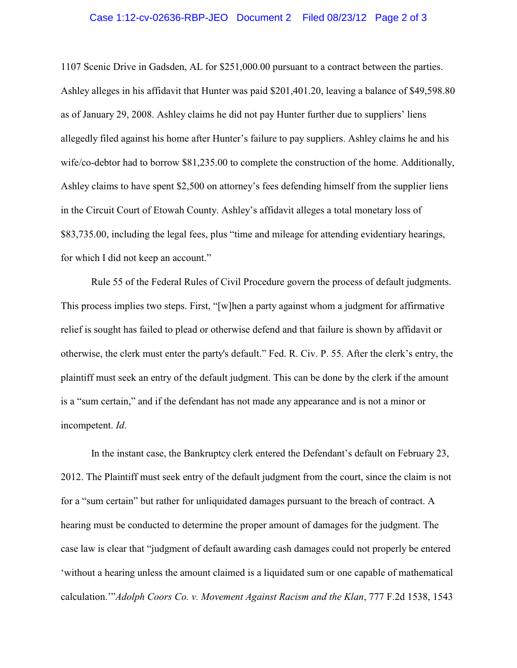### Case 1:12-cv-02636-RBP-JEO Document 2 Filed 08/23/12 Page 2 of 3

1107 Scenic Drive in Gadsden, AL for \$251,000.00 pursuant to a contract between the parties. Ashley alleges in his affidavit that Hunter was paid \$201,401.20, leaving a balance of \$49,598.80 as of January 29, 2008. Ashley claims he did not pay Hunter further due to suppliers' liens allegedly filed against his home after Hunter's failure to pay suppliers. Ashley claims he and his wife/co-debtor had to borrow \$81,235.00 to complete the construction of the home. Additionally, Ashley claims to have spent \$2,500 on attorney's fees defending himself from the supplier liens in the Circuit Court of Etowah County. Ashley's affidavit alleges a total monetary loss of \$83,735.00, including the legal fees, plus "time and mileage for attending evidentiary hearings, for which I did not keep an account."

Rule 55 of the Federal Rules of Civil Procedure govern the process of default judgments. This process implies two steps. First, "[w]hen a party against whom a judgment for affirmative relief is sought has failed to plead or otherwise defend and that failure is shown by affidavit or otherwise, the clerk must enter the party's default." Fed. R. Civ. P. 55. After the clerk's entry, the plaintiff must seek an entry of the default judgment. This can be done by the clerk if the amount is a "sum certain," and if the defendant has not made any appearance and is not a minor or incompetent. *Id*.

In the instant case, the Bankruptcy clerk entered the Defendant's default on February 23, 2012. The Plaintiff must seek entry of the default judgment from the court, since the claim is not for a "sum certain" but rather for unliquidated damages pursuant to the breach of contract. A hearing must be conducted to determine the proper amount of damages for the judgment. The case law is clear that "judgment of default awarding cash damages could not properly be entered 'without a hearing unless the amount claimed is a liquidated sum or one capable of mathematical calculation.'"*Adolph Coors Co. v. Movement Against Racism and the Klan*, 777 F.2d 1538, 1543